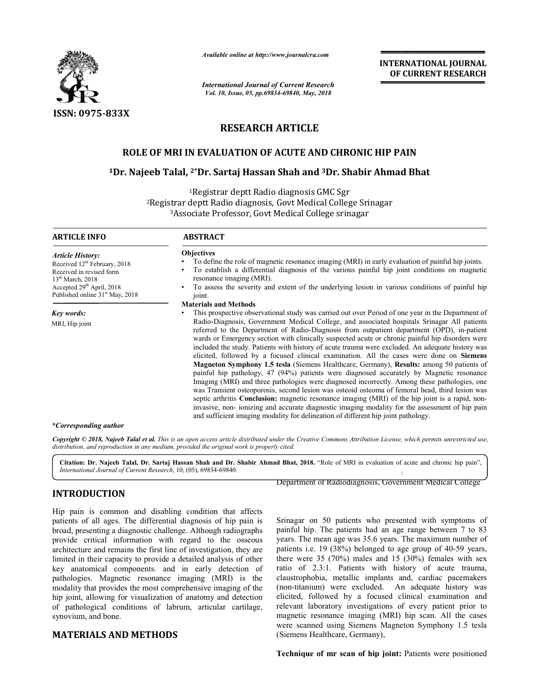

*Available online at http://www.journalcra.com*

*International Journal of Current Research Vol. 10, Issue, 05, pp. Vol. pp.69834-69840, May, 2018*

**INTERNATIONAL JOURNAL OF CURRENT RESEARCH**

# **RESEARCH ARTICLE**

## **ROLE OF MRI IN EVALUATION OF ACUTE AND CHRONIC HIP PAIN IN HIP PAIN**

# ROLE OF MRI IN EVALUATION OF ACUTE AND CHRONIC HIP PAIN<br><sup>1</sup>Dr. Najeeb Talal, <sup>2\*</sup>Dr. Sartaj Hassan Shah and <sup>3</sup>Dr. Shabir Ahmad Bhat

<sup>1</sup>Registrar deptt Radio diagnosis GMC Sgr <sup>2</sup>Registrar deptt Radio diagnosis, Govt Medical College Srinagar 3Associate Professor Associate Professor, Govt Medical College srinagar

| <b>ARTICLE INFO</b>                                                                                                                                                                                  | <b>ABSTRACT</b>                                                                                                                                                                                                                                                                                                                                                                                                                                                                                                                                                                                                                                                                                                                                                                                                                                                                                                                                                                                                                                                                                                                                                                                                                                                                                                                                     |
|------------------------------------------------------------------------------------------------------------------------------------------------------------------------------------------------------|-----------------------------------------------------------------------------------------------------------------------------------------------------------------------------------------------------------------------------------------------------------------------------------------------------------------------------------------------------------------------------------------------------------------------------------------------------------------------------------------------------------------------------------------------------------------------------------------------------------------------------------------------------------------------------------------------------------------------------------------------------------------------------------------------------------------------------------------------------------------------------------------------------------------------------------------------------------------------------------------------------------------------------------------------------------------------------------------------------------------------------------------------------------------------------------------------------------------------------------------------------------------------------------------------------------------------------------------------------|
| <b>Article History:</b><br>Received 12 <sup>th</sup> February, 2018<br>Received in revised form<br>$13th March$ , 2018<br>Accepted $29th$ April, 2018<br>Published online 31 <sup>st</sup> May, 2018 | <b>Objectives</b><br>To define the role of magnetic resonance imaging (MRI) in early evaluation of painful hip joints.<br>To establish a differential diagnosis of the various painful hip joint conditions on magnetic<br>resonance imaging (MRI).<br>To assess the severity and extent of the underlying lesion in various conditions of painful hip<br>joint.                                                                                                                                                                                                                                                                                                                                                                                                                                                                                                                                                                                                                                                                                                                                                                                                                                                                                                                                                                                    |
| Key words:<br>MRI, Hip joint                                                                                                                                                                         | <b>Materials and Methods</b><br>This prospective observational study was carried out over Period of one year in the Department of<br>Radio-Diagnosis, Government Medical College, and associated hospitals Srinagar All patients<br>referred to the Department of Radio-Diagnosis from outpatient department (OPD), in-patient<br>wards or Emergency section with clinically suspected acute or chronic painful hip disorders were<br>included the study. Patients with history of acute trauma were excluded. An adequate history was<br>elicited, followed by a focused clinical examination. All the cases were done on <b>Siemens</b><br><b>Magneton Symphony 1.5 tesla</b> (Siemens Healthcare, Germany), <b>Results:</b> among 50 patients of<br>painful hip pathology, 47 (94%) patients were diagnosed accurately by Magnetic resonance<br>Imaging (MRI) and three pathologies were diagnosed incorrectly. Among these pathologies, one<br>was Transient osteoporosis, second lesion was osteoid osteoma of femoral head, third lesion was<br>septic arthritis <b>Conclusion:</b> magnetic resonance imaging (MRI) of the hip joint is a rapid, non-<br>invasive, non-ionizing and accurate diagnostic imaging modality for the assessment of hip pain<br>and sufficient imaging modality for delineation of different hip joint pathology. |

#### *\*Corresponding author*

Copyright © 2018, Najeeb Talal et al. This is an open access article distributed under the Creative Commons Attribution License, which permits unrestricted use, *distribution, and reproduction in any medium, provided the original work is properly cited.*

Citation: Dr. Najeeb Talal, Dr. Sartaj Hassan Shah and Dr. Shabir Ahmad Bhat, 2018. "Role of MRI in evaluation of acute and chronic hip pain", *International Journal of Current Research*, 10, (05), 69834 69834-69840. The internal contract of the internal contract of the internal contract of the internal contract of

#### **INTRODUCTION**

Hip pain is common and disabling condition that affects patients of all ages. The differential diagnosis of hip pain is broad, presenting a diagnostic challenge. Although radiographs provide critical information with regard to the osseous architecture and remains the first line of investigation, t limited in their capacity to provide a detailed analysis of other key anatomical components. and in early detection of pathologies. Magnetic resonance imaging (MRI) is the modality that provides the most comprehensive imaging of the hip joint, allowing for visualization of anatomy and detection of pathological conditions of labrum, articular cartilage, synovium, and bone. exenting a diagnostic challenge. Although radiographs<br>critical information with regard to the osseous<br>re and remains the first line of investigation, they are

### **MATERIALS AND METHODS**

Department of Radiodiagnosis, Government Medical College

**EXECUAL EXECUTE:** TON DEPARTMENT DEPARTMENT OF RADIODIZED DEPARTMENT OF COLLEGE COLLEGE CONDINET TO and disabling condition that affects areas. The differential diagnosis of hip pain is Srinagar on 50 patients who presen Srinagar on 50 patients who presented with symptoms of painful hip. The patients had an age range between 7 to 83 years. The mean age was 35.6 years. The maximum number of patients i.e. 19 (38%) belonged to age group of 40-59 years, there were  $35$  (70%) males and  $15$  (30%) females with sex ratio of 2.3:1. Patients with history of acute trauma, claustrophobia, metallic implants and, cardiac pacemakers (non-titanium) were excluded. An adequate history was elicited, followed by a focused clinical examination and relevant laboratory investigations of every patient prior to magnetic resonance imaging (MRI) hip scan. All the cases (MRI) were scanned using Siemens Magneton Symphony 1.5 tesla (Siemens Healthcare, Germany),

Technique of mr scan of hip joint: Patients were positioned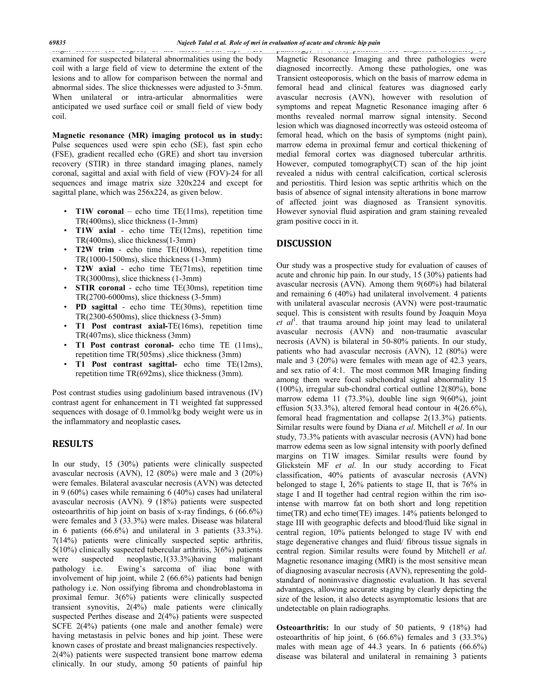slight flexion (15 degree) at the knees. Both hips were examined for suspected bilateral abnormalities using the body coil with a large field of view to determine the extent of the lesions and to allow for comparison between the normal and abnormal sides. The slice thicknesses were adjusted to 3-5mm. When unilateral or intra-articular abnormalities were anticipated we used surface coil or small field of view body coil.

**Magnetic resonance (MR) imaging protocol us in study:**  Pulse sequences used were spin echo (SE), fast spin echo (FSE), gradient recalled echo (GRE) and short tau inversion recovery (STIR) in three standard imaging planes, namely coronal, sagittal and axial with field of view (FOV)-24 for all sequences and image matrix size 320x224 and except for sagittal plane, which was 256x224, as given below.

- **T1W coronal** echo time  $TE(11ms)$ , repetition time TR(400ms), slice thickness (1-3mm)
- **T1W axial**  echo time TE(12ms), repetition time TR(400ms), slice thickness(1-3mm)
- **T2W trim**  echo time TE(100ms), repetition time TR(1000-1500ms), slice thickness (1-3mm)
- **T2W axial**  echo time TE(71ms), repetition time TR(3000ms), slice thickness (1-3mm)
- **STIR coronal** echo time TE(30ms), repetition time TR(2700-6000ms), slice thickness (3-5mm)
- **PD sagittal**  echo time TE(30ms), repetition time TR(2300-6500ms), slice thickness (3-5mm)
- **T1 Post contrast axial-**TE(16ms), repetition time TR(407ms), slice thickness (3mm)
- **T1 Post contrast coronal-** echo time TE (11ms),, repetition time TR(505ms) ,slice thickness (3mm)
- **T1 Post contrast sagittal-** echo time TE(12ms), repetition time TR(692ms), slice thickness (3mm).

Post contrast studies using gadolinium based intravenous (IV) contrast agent for enhancement in T1 weighted fat suppressed sequences with dosage of 0.1mmol/kg body weight were us in the inflammatory and neoplastic cases**.** 

#### **RESULTS**

In our study, 15 (30%) patients were clinically suspected avascular necrosis (AVN), 12 (80%) were male and 3 (20%) were females. Bilateral avascular necrosis (AVN) was detected in 9 (60%) cases while remaining 6 (40%) cases had unilateral avascular necrosis (AVN). 9 (18%) patients were suspected osteoarthritis of hip joint on basis of x-ray findings, 6 (66.6%) were females and 3 (33.3%) were males. Disease was bilateral in 6 patients (66.6%) and unilateral in 3 patients (33.3%). 7(14%) patients were clinically suspected septic arthritis, 5(10%) clinically suspected tubercular arthritis, 3(6%) patients were suspected neoplastic,1(33.3%)having malignant pathology i.e. Ewing's sarcoma of iliac bone with involvement of hip joint, while 2 (66.6%) patients had benign pathology i.e. Non ossifying fibroma and chondroblastoma in proximal femur. 3(6%) patients were clinically suspected transient synovitis, 2(4%) male patients were clinically suspected Perthes disease and 2(4%) patients were suspected SCFE 2(4%) patients (one male and another female) were having metastasis in pelvic bones and hip joint. These were known cases of prostate and breast malignancies respectively.

2(4%) patients were suspected transient bone marrow edema clinically. In our study, among 50 patients of painful hip

pathology, 47 (94%) patients were diagnosed accurately by Magnetic Resonance Imaging and three pathologies were diagnosed incorrectly. Among these pathologies, one was Transient osteoporosis, which on the basis of marrow edema in femoral head and clinical features was diagnosed early avascular necrosis (AVN), however with resolution of symptoms and repeat Magnetic Resonance imaging after 6 months revealed normal marrow signal intensity. Second lesion which was diagnosed incorrectly was osteoid osteoma of femoral head, which on the basis of symptoms (night pain), marrow edema in proximal femur and cortical thickening of medial femoral cortex was diagnosed tubercular arthritis. However, computed tomography(CT) scan of the hip joint revealed a nidus with central calcification, cortical sclerosis and periostitis. Third lesion was septic arthritis which on the basis of absence of signal intensity alterations in bone marrow of affected joint was diagnosed as Transient synovitis. However synovial fluid aspiration and gram staining revealed gram positive cocci in it.

#### **DISCUSSION**

Our study was a prospective study for evaluation of causes of acute and chronic hip pain. In our study, 15 (30%) patients had avascular necrosis (AVN). Among them 9(60%) had bilateral and remaining 6 (40%) had unilateral involvement. 4 patients with unilateral avascular necrosis (AVN) were post-traumatic sequel. This is consistent with results found by Joaquin Moya et al<sup>1</sup>. that trauma around hip joint may lead to unilateral avascular necrosis (AVN) and non-traumatic avascular necrosis (AVN) is bilateral in 50-80% patients. In our study, patients who had avascular necrosis (AVN), 12 (80%) were male and 3 (20%) were females with mean age of 42.3 years, and sex ratio of 4:1. The most common MR Imaging finding among them were focal subchondral signal abnormality 15 (100%), irregular sub-chondral cortical outline 12(80%), bone marrow edema 11 (73.3%), double line sign 9(60%), joint effusion 5(33.3%), altered femoral head contour in 4(26.6%), femoral head fragmentation and collapse 2(13.3%) patients. Similar results were found by Diana *et al*. Mitchell *et al*. In our study, 73.3% patients with avascular necrosis (AVN) had bone marrow edema seen as low signal intensity with poorly defined margins on T1W images. Similar results were found by Glickstein MF *et al*. In our study according to Ficat classification, 40% patients of avascular necrosis (AVN) belonged to stage I, 26% patients to stage II, that is 76% in stage I and II together had central region within the rim isointense with marrow fat on both short and long repetition time(TR) and echo time(TE) images. 14% patients belonged to stage III with geographic defects and blood/fluid like signal in central region, 10% patients belonged to stage IV with end stage degenerative changes and fluid/ fibrous tissue signals in central region. Similar results were found by Mitchell *et al*. Magnetic resonance imaging (MRI) is the most sensitive mean of diagnosing avascular necrosis (AVN), representing the goldstandard of noninvasive diagnostic evaluation. It has several advantages, allowing accurate staging by clearly depicting the size of the lesion, it also detects asymptomatic lesions that are undetectable on plain radiographs.

**Osteoarthritis:** In our study of 50 patients, 9 (18%) had osteoarthritis of hip joint, 6 (66.6%) females and 3 (33.3%) males with mean age of 44.3 years. In 6 patients (66.6%) disease was bilateral and unilateral in remaining 3 patients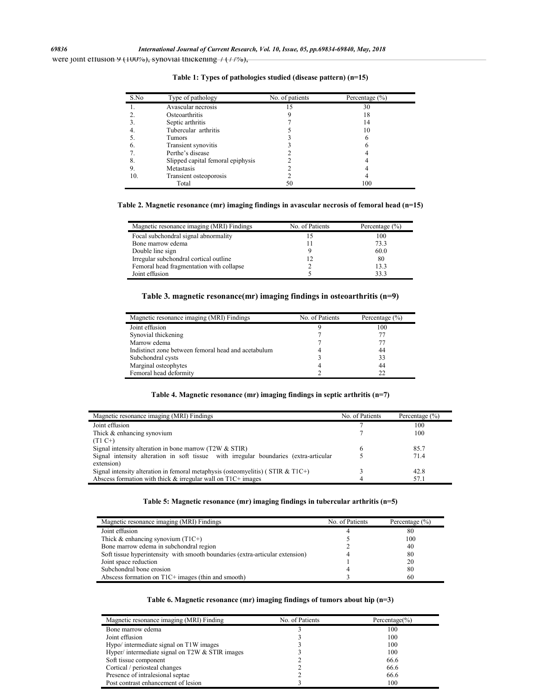were joint effusion 9 (100%), synovial thickening  $7$  (11%),

| S.No | Type of pathology                 | No. of patients | Percentage $(\% )$ |  |
|------|-----------------------------------|-----------------|--------------------|--|
|      | Avascular necrosis                | 15              | 30                 |  |
|      | Osteoarthritis                    |                 | 18                 |  |
|      | Septic arthritis                  |                 | 14                 |  |
| 4.   | Tubercular arthritis              |                 | 10                 |  |
|      | Tumors                            |                 | 6                  |  |
| 6.   | Transient synovitis               |                 | o                  |  |
|      | Perthe's disease                  |                 |                    |  |
| 8.   | Slipped capital femoral epiphysis |                 |                    |  |
| 9.   | Metastasis                        |                 |                    |  |
| 10.  | Transient osteoporosis            |                 |                    |  |
|      | Total                             | 50              | 100                |  |

**Table 1: Types of pathologies studied (disease pattern) (n=15)**

**Table 2. Magnetic resonance (mr) imaging findings in avascular necrosis of femoral head (n=15)**

| Magnetic resonance imaging (MRI) Findings | No. of Patients | Percentage $(\% )$ |
|-------------------------------------------|-----------------|--------------------|
| Focal subchondral signal abnormality      | 15              | 100                |
| Bone marrow edema                         | 11              | 73.3               |
| Double line sign                          |                 | 60.0               |
| Irregular subchondral cortical outline    | 12              | 80                 |
| Femoral head fragmentation with collapse  |                 | 13.3               |
| Joint effusion                            |                 | 33.3               |

## **Table 3. magnetic resonance(mr) imaging findings in osteoarthritis (n=9)**

| Magnetic resonance imaging (MRI) Findings           | No. of Patients | Percentage $(\% )$ |
|-----------------------------------------------------|-----------------|--------------------|
| Joint effusion                                      |                 | 100                |
| Synovial thickening                                 |                 |                    |
| Marrow edema                                        |                 |                    |
| Indistinct zone between femoral head and acetabulum |                 | 44                 |
| Subchondral cysts                                   |                 | 33                 |
| Marginal osteophytes                                |                 | 44                 |
| Femoral head deformity                              |                 | 22                 |

**Table 4. Magnetic resonance (mr) imaging findings in septic arthritis (n=7)**

| Magnetic resonance imaging (MRI) Findings                                             | No. of Patients | Percentage $(\% )$ |
|---------------------------------------------------------------------------------------|-----------------|--------------------|
| Joint effusion                                                                        |                 | 100                |
| Thick & enhancing synovium                                                            |                 | 100                |
| $(T1 C+)$                                                                             |                 |                    |
| Signal intensity alteration in bone marrow $(T2W & STIR)$                             | 6               | 85.7               |
| Signal intensity alteration in soft tissue with irregular boundaries (extra-articular |                 | 71.4               |
| extension)                                                                            |                 |                    |
| Signal intensity alteration in femoral metaphysis (osteomyelitis) (STIR & T1C+)       |                 | 42.8               |
| Abscess formation with thick $&$ irregular wall on T1C+ images                        |                 | 57.1               |

#### **Table 5: Magnetic resonance (mr) imaging findings in tubercular arthritis (n=5)**

| Magnetic resonance imaging (MRI) Findings                                     | No. of Patients | Percentage $(\% )$ |
|-------------------------------------------------------------------------------|-----------------|--------------------|
| Joint effusion                                                                |                 | 80                 |
| Thick $\&$ enhancing synovium (T1C+)                                          |                 | 100                |
| Bone marrow edema in subchondral region                                       |                 | 40                 |
| Soft tissue hyperintensity with smooth boundaries (extra-articular extension) |                 | 80                 |
| Joint space reduction                                                         |                 | 20                 |
| Subchondral bone erosion                                                      |                 | 80                 |
| Abscess formation on T1C+ images (thin and smooth)                            |                 | 60                 |

#### **Table 6. Magnetic resonance (mr) imaging findings of tumors about hip (n=3)**

| Magnetic resonance imaging (MRI) Finding        | No. of Patients | Percentage $(\% )$ |
|-------------------------------------------------|-----------------|--------------------|
| Bone marrow edema                               |                 | 100                |
| Joint effusion                                  |                 | 100                |
| Hypo/ intermediate signal on T1W images         |                 | 100                |
| Hyper/ intermediate signal on T2W & STIR images |                 | 100                |
| Soft tissue component                           |                 | 66.6               |
| Cortical / periosteal changes                   |                 | 66.6               |
| Presence of intralesional septae                |                 | 66.6               |
| Post contrast enhancement of lesion             |                 | 100                |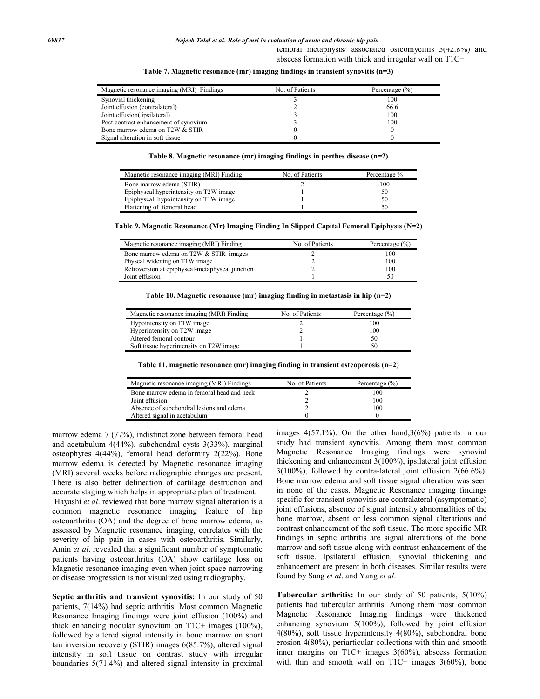femoral metaphysis/ associated osteomyelitis 3(42.8%) and abscess formation with thick and irregular wall on T1C+

| Magnetic resonance imaging (MRI) Findings | No. of Patients | Percentage $(\% )$ |
|-------------------------------------------|-----------------|--------------------|
| Synovial thickening                       |                 | 100                |
| Joint effusion (contralateral)            |                 | 66.6               |
| Joint effusion (ipsilateral)              |                 | 100                |
| Post contrast enhancement of synovium     |                 | 100                |
| Bone marrow edema on T2W & STIR           |                 |                    |
| Signal alteration in soft tissue          |                 |                    |

**Table 7. Magnetic resonance (mr) imaging findings in transient synovitis (n=3)**

**Table 8. Magnetic resonance (mr) imaging findings in perthes disease (n=2)**

| Magnetic resonance imaging (MRI) Finding | No. of Patients | Percentage % |
|------------------------------------------|-----------------|--------------|
| Bone marrow edema (STIR)                 |                 | 100          |
| Epiphyseal hyperintensity on T2W image   |                 | 50           |
| Epiphyseal hypointensity on T1W image    |                 | 50           |
| Flattening of femoral head               |                 | 50           |

**Table 9. Magnetic Resonance (Mr) Imaging Finding In Slipped Capital Femoral Epiphysis (N=2)**

| Magnetic resonance imaging (MRI) Finding        | No. of Patients | Percentage $(\% )$ |
|-------------------------------------------------|-----------------|--------------------|
| Bone marrow edema on T2W & STIR images          |                 | 100                |
| Physeal widening on T1W image                   |                 | 100                |
| Retroversion at epiphyseal-metaphyseal junction |                 | 100                |
| Joint effusion                                  |                 | 50                 |

**Table 10. Magnetic resonance (mr) imaging finding in metastasis in hip (n=2)**

| Magnetic resonance imaging (MRI) Finding | No. of Patients | Percentage $(\% )$ |
|------------------------------------------|-----------------|--------------------|
| Hypointensity on T1W image               |                 | 100                |
| Hyperintensity on T2W image              |                 | 100                |
| Altered femoral contour                  |                 | 50                 |
| Soft tissue hyperintensity on T2W image  |                 | 50                 |

**Table 11. magnetic resonance (mr) imaging finding in transient osteoporosis (n=2)**

| Magnetic resonance imaging (MRI) Findings  | No. of Patients | Percentage $(\% )$ |
|--------------------------------------------|-----------------|--------------------|
| Bone marrow edema in femoral head and neck |                 | 100                |
| Joint effusion                             |                 | 100                |
| Absence of subchondral lesions and edema   |                 | 100                |
| Altered signal in acetabulum               |                 |                    |

marrow edema 7 (77%), indistinct zone between femoral head and acetabulum 4(44%), subchondral cysts 3(33%), marginal osteophytes 4(44%), femoral head deformity 2(22%). Bone marrow edema is detected by Magnetic resonance imaging (MRI) several weeks before radiographic changes are present. There is also better delineation of cartilage destruction and accurate staging which helps in appropriate plan of treatment.

Hayashi *et al*. reviewed that bone marrow signal alteration is a common magnetic resonance imaging feature of hip osteoarthritis (OA) and the degree of bone marrow edema, as assessed by Magnetic resonance imaging, correlates with the severity of hip pain in cases with osteoarthritis. Similarly, Amin *et al*. revealed that a significant number of symptomatic patients having osteoarthritis (OA) show cartilage loss on Magnetic resonance imaging even when joint space narrowing or disease progression is not visualized using radiography.

**Septic arthritis and transient synovitis:** In our study of 50 patients, 7(14%) had septic arthritis. Most common Magnetic Resonance Imaging findings were joint effusion (100%) and thick enhancing nodular synovium on T1C+ images (100%), followed by altered signal intensity in bone marrow on short tau inversion recovery (STIR) images 6(85.7%), altered signal intensity in soft tissue on contrast study with irregular boundaries 5(71.4%) and altered signal intensity in proximal

images  $4(57.1\%)$ . On the other hand,  $3(6\%)$  patients in our study had transient synovitis. Among them most common Magnetic Resonance Imaging findings were synovial thickening and enhancement 3(100%), ipsilateral joint effusion 3(100%), followed by contra-lateral joint effusion 2(66.6%). Bone marrow edema and soft tissue signal alteration was seen in none of the cases. Magnetic Resonance imaging findings specific for transient synovitis are contralateral (asymptomatic) joint effusions, absence of signal intensity abnormalities of the bone marrow, absent or less common signal alterations and contrast enhancement of the soft tissue. The more specific MR findings in septic arthritis are signal alterations of the bone marrow and soft tissue along with contrast enhancement of the soft tissue. Ipsilateral effusion, synovial thickening and enhancement are present in both diseases. Similar results were found by Sang *et al*. and Yang *et al*.

**Tubercular arthritis:** In our study of 50 patients, 5(10%) patients had tubercular arthritis. Among them most common Magnetic Resonance Imaging findings were thickened enhancing synovium 5(100%), followed by joint effusion 4(80%), soft tissue hyperintensity 4(80%), subchondral bone erosion 4(80%), periarticular collections with thin and smooth inner margins on T1C+ images 3(60%), abscess formation with thin and smooth wall on  $T1C+$  images  $3(60\%)$ , bone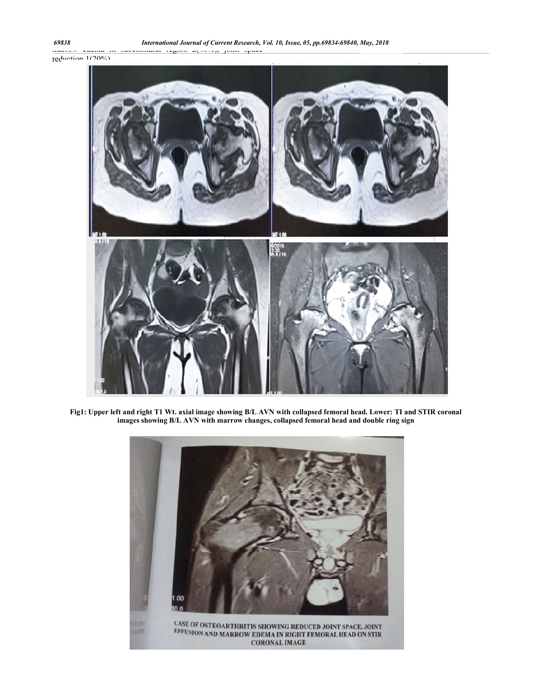

**Fig1: Upper left and right T1 Wt. axial image showing B/L AVN with collapsed femoral head. Lower: TI and STIR coronal images showing B/L AVN with marrow changes, collapsed femoral head and double ring sign**

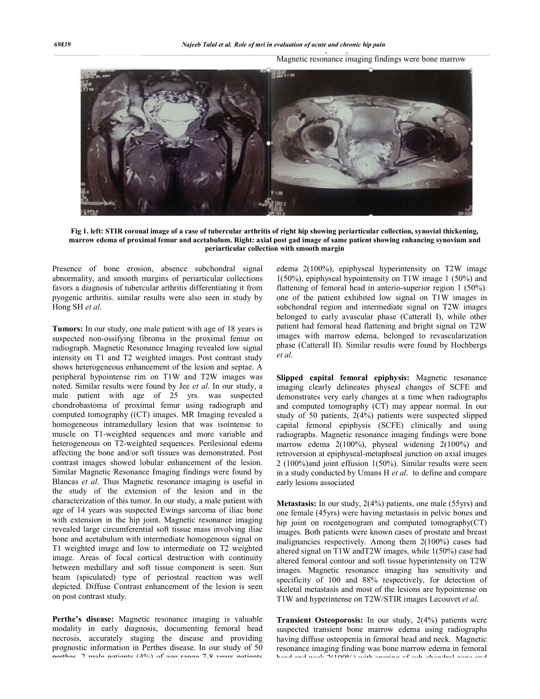Magnetic resonance imaging findings were bone marrow



**Fig 1. left: STIR coronal image of a case of tubercular arthritis of right hip showing periarticular collection, synovial thickening, marrow edema of proximal femur and acetabulum. Right: axial post gad image of same patient showing enhancing synovium and periarticular collection with smooth margin**

Presence of bone erosion, absence subchondral signal abnormality, and smooth margins of periarticular collections favors a diagnosis of tubercular arthritis differentiating it from pyogenic arthritis. similar results were also seen in study by Hong SH *et al*.

**Tumors:** In our study, one male patient with age of 18 years is suspected non-ossifying fibroma in the proximal femur on radiograph. Magnetic Resonance Imaging revealed low signal intensity on T1 and T2 weighted images. Post contrast study shows heterogeneous enhancement of the lesion and septae. A peripheral hypointense rim on T1W and T2W images was noted. Similar results were found by Jee *et al*. In our study, a male patient with age of 25 yrs. was suspected chondrobastoma of proximal femur using radiograph and computed tomography ((CT) images. MR Imaging revealed a homogeneous intramedullary lesion that was isointense to muscle on T1-weighted sequences and more variable and heterogeneous on T2-weighted sequences. Perilesional edema affecting the bone and/or soft tissues was demonstrated. Post contrast images showed lobular enhancement of the lesion. Similar Magnetic Resonance Imaging findings were found by Blancas *et al*. Thus Magnetic resonance imaging is useful in the study of the extension of the lesion and in the characterization of this tumor. In our study, a male patient with age of 14 years was suspected Ewings sarcoma of iliac bone with extension in the hip joint. Magnetic resonance imaging revealed large circumferential soft tissue mass involving iliac bone and acetabulum with intermediate homogenous signal on T1 weighted image and low to intermediate on T2 weighted image. Areas of focal cortical destruction with continuity between medullary and soft tissue component is seen. Sun beam (spiculated) type of periosteal reaction was well depicted. Diffuse Contrast enhancement of the lesion is seen on post contrast study.

**Perthe's disease:** Magnetic resonance imaging is valuable modality in early diagnosis, documenting femoral head necrosis, accurately staging the disease and providing prognostic information in Perthes disease. In our study of 50 perthes, 2 male patients (40%) of age range 7-8 years patients

edema 2(100%), epiphyseal hyperintensity on T2W image 1(50%), epiphyseal hypointensity on T1W image 1 (50%) and flattening of femoral head in anterio-superior region 1 (50%). one of the patient exhibited low signal on T1W images in subchondral region and intermediate signal on T2W images belonged to early avascular phase (Catterall I), while other patient had femoral head flattening and bright signal on T2W images with marrow edema, belonged to revascularization phase (Catterall II). Similar results were found by Hochbergs *et al*.

**Slipped capital femoral epiphysis:** Magnetic resonance imaging clearly delineates physeal changes of SCFE and demonstrates very early changes at a time when radiographs and computed tomography (CT) may appear normal. In our study of 50 patients, 2(4%) patients were suspected slipped capital femoral epiphysis (SCFE) clinically and using radiographs. Magnetic resonance imaging findings were bone marrow edema 2(100%), physeal widening 2(100%) and retroversion at epiphyseal-metaphseal junction on axial images 2 (100%)and joint effusion 1(50%). Similar results were seen in a study conducted by Umans H *et al*. to define and compare early lesions associated

**Metastasis:** In our study, 2(4%) patients, one male (55yrs) and one female (45yrs) were having metastasis in pelvic bones and hip joint on roentgenogram and computed tomography(CT) images. Both patients were known cases of prostate and breast malignancies respectively. Among them 2(100%) cases had altered signal on T1W andT2W images, while 1(50%) case had altered femoral contour and soft tissue hyperintensity on T2W images. Magnetic resonance imaging has sensitivity and specificity of 100 and 88% respectively, for detection of skeletal metastasis and most of the lesions are hypointense on T1W and hyperintense on T2W/STIR images Lecouvet *et al*.

**Transient Osteoporosis:** In our study, 2(4%) patients were suspected transient bone marrow edema using radiographs having diffuse osteopenia in femoral head and neck. Magnetic resonance imaging finding was bone marrow edema in femoral head and neck 2(100%) with sparing of sub-chondral zone and